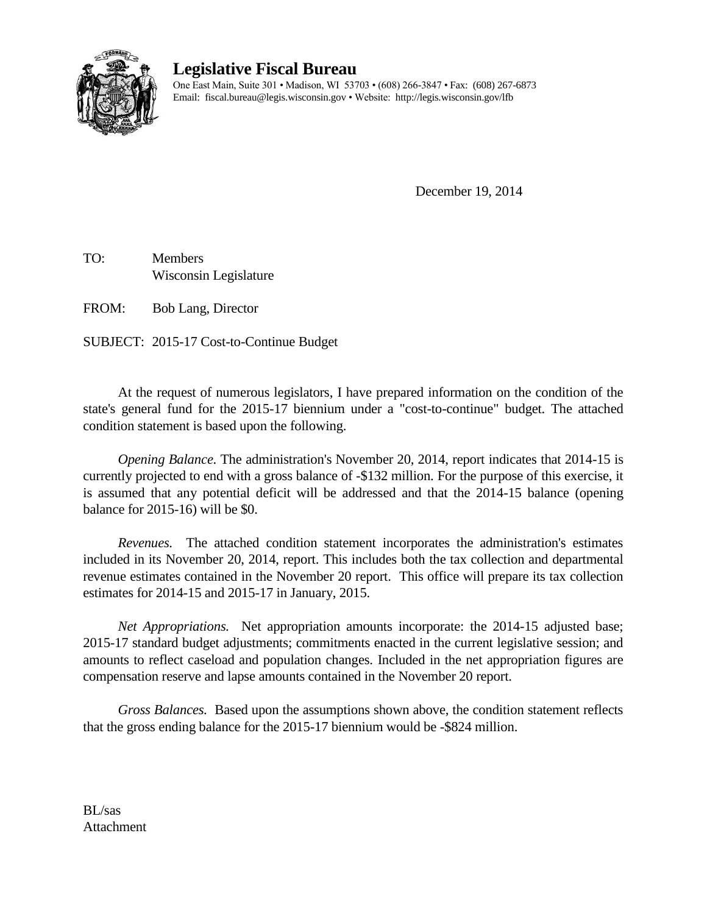

## **Legislative Fiscal Bureau**

One East Main, Suite 301 • Madison, WI 53703 • (608) 266-3847 • Fax: (608) 267-6873 Email: fiscal.bureau@legis.wisconsin.gov • Website:<http://legis.wisconsin.gov/lfb>

December 19, 2014

TO: Members Wisconsin Legislature

FROM: Bob Lang, Director

SUBJECT: 2015-17 Cost-to-Continue Budget

At the request of numerous legislators, I have prepared information on the condition of the state's general fund for the 2015-17 biennium under a "cost-to-continue" budget. The attached condition statement is based upon the following.

*Opening Balance.* The administration's November 20, 2014, report indicates that 2014-15 is currently projected to end with a gross balance of -\$132 million. For the purpose of this exercise, it is assumed that any potential deficit will be addressed and that the 2014-15 balance (opening balance for 2015-16) will be \$0.

*Revenues.* The attached condition statement incorporates the administration's estimates included in its November 20, 2014, report. This includes both the tax collection and departmental revenue estimates contained in the November 20 report. This office will prepare its tax collection estimates for 2014-15 and 2015-17 in January, 2015.

*Net Appropriations.* Net appropriation amounts incorporate: the 2014-15 adjusted base; 2015-17 standard budget adjustments; commitments enacted in the current legislative session; and amounts to reflect caseload and population changes. Included in the net appropriation figures are compensation reserve and lapse amounts contained in the November 20 report.

*Gross Balances.*Based upon the assumptions shown above, the condition statement reflects that the gross ending balance for the 2015-17 biennium would be -\$824 million.